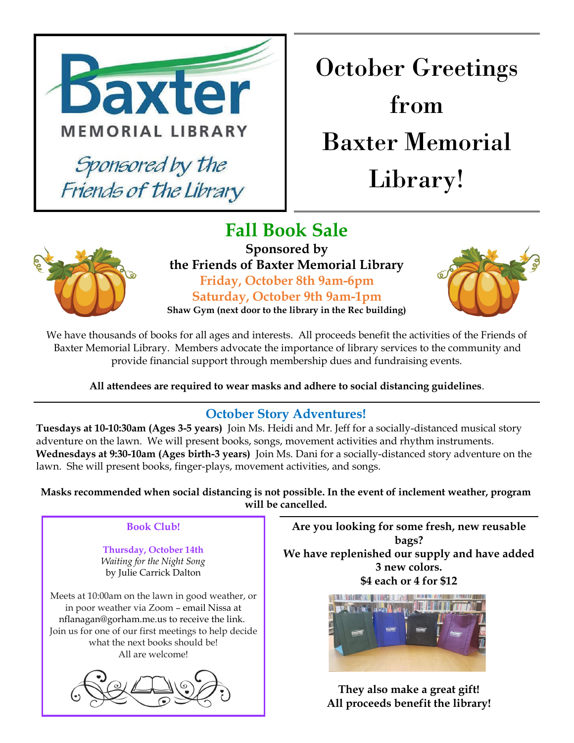

## October Greetings from Baxter Memorial Library!



**Fall Book Sale Sponsored by the Friends of Baxter Memorial Library Friday, October 8th 9am-6pm Saturday, October 9th 9am-1pm Shaw Gym (next door to the library in the Rec building)**



We have thousands of books for all ages and interests. All proceeds benefit the activities of the Friends of Baxter Memorial Library. Members advocate the importance of library services to the community and provide financial support through membership dues and fundraising events.

**All attendees are required to wear masks and adhere to social distancing guidelines**.

### **October Story Adventures!**

**Tuesdays at 10-10:30am (Ages 3-5 years)** Join Ms. Heidi and Mr. Jeff for a socially-distanced musical story adventure on the lawn. We will present books, songs, movement activities and rhythm instruments. **Wednesdays at 9:30-10am (Ages birth-3 years)** Join Ms. Dani for a socially-distanced story adventure on the lawn. She will present books, finger-plays, movement activities, and songs.

**Masks recommended when social distancing is not possible. In the event of inclement weather, program will be cancelled.**

#### **Book Club!**

**Thursday, October 14th** *Waiting for the Night Song* by Julie Carrick Dalton

Meets at 10:00am on the lawn in good weather, or in poor weather via Zoom – email Nissa at nflanagan@gorham.me.us to receive the link. Join us for one of our first meetings to help decide what the next books should be! All are welcome!



**Are you looking for some fresh, new reusable bags? We have replenished our supply and have added 3 new colors. \$4 each or 4 for \$12**



**They also make a great gift! All proceeds benefit the library!**